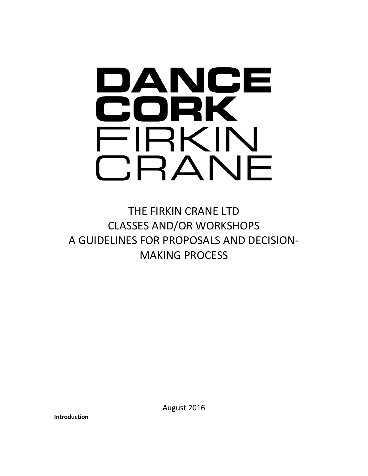

THE FIRKIN CRANE LTD CLASSES AND/OR WORKSHOPS A GUIDELINES FOR PROPOSALS AND DECISION-MAKING PROCESS

**Introduction**

August 2016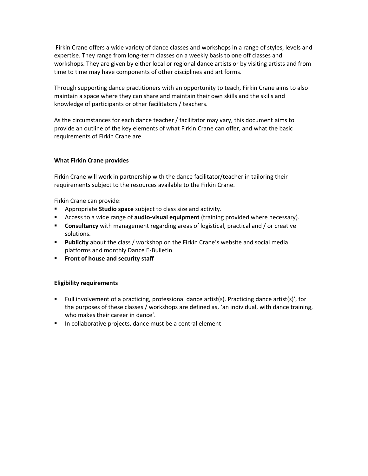Firkin Crane offers a wide variety of dance classes and workshops in a range of styles, levels and expertise. They range from long-term classes on a weekly basis to one off classes and workshops. They are given by either local or regional dance artists or by visiting artists and from time to time may have components of other disciplines and art forms.

Through supporting dance practitioners with an opportunity to teach, Firkin Crane aims to also maintain a space where they can share and maintain their own skills and the skills and knowledge of participants or other facilitators / teachers.

As the circumstances for each dance teacher / facilitator may vary, this document aims to provide an outline of the key elements of what Firkin Crane can offer, and what the basic requirements of Firkin Crane are.

## **What Firkin Crane provides**

Firkin Crane will work in partnership with the dance facilitator/teacher in tailoring their requirements subject to the resources available to the Firkin Crane.

Firkin Crane can provide:

- Appropriate **Studio space** subject to class size and activity.
- Access to a wide range of **audio-visual equipment** (training provided where necessary).
- **EXECONSURGIVER 19 CONSULTANCE THE MANAGE CONSULTANCE CONSULTANCE CONSULTANCE CONSULTANCE CONSULTANCE CONSULTANCE CONSULTANCE CONSULTANCE <b>CONSULTANCE CONSULTANCE CONSULTANCE CONSULTANCE CONSULTANCE CONSULTANCE CONSULTANCE** solutions.
- **Publicity** about the class / workshop on the Firkin Crane's website and social media platforms and monthly Dance E-Bulletin.
- **Front of house and security staff**

### **Eligibility requirements**

- Full involvement of a practicing, professional dance artist(s). Practicing dance artist(s)', for the purposes of these classes / workshops are defined as, 'an individual, with dance training, who makes their career in dance'.
- In collaborative projects, dance must be a central element